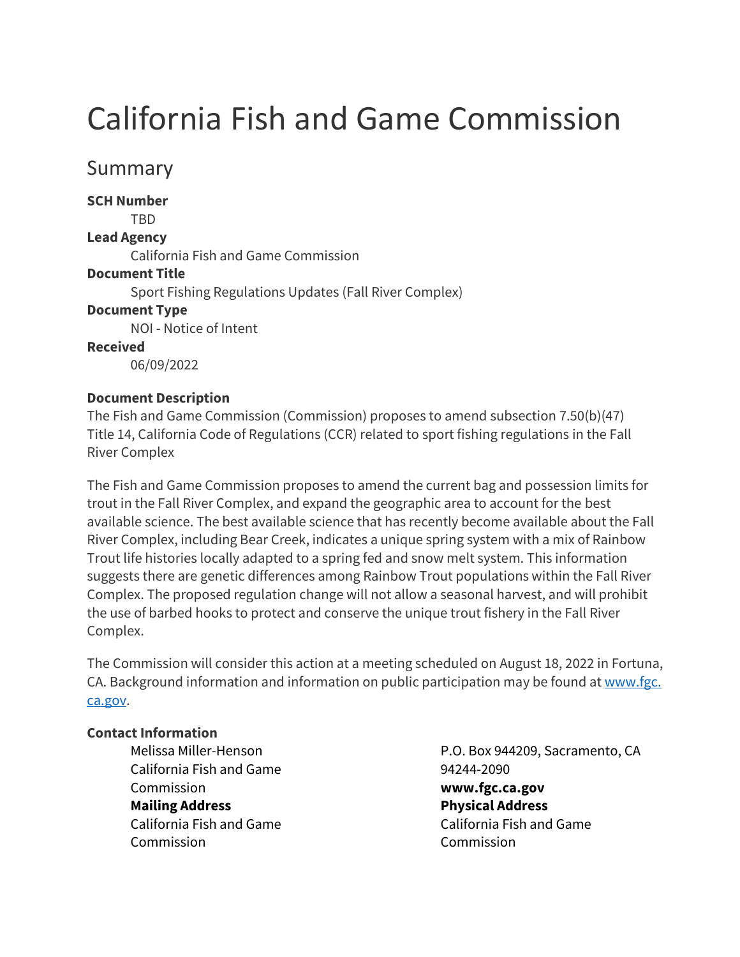# California Fish and Game Commission

# Summary

**SCH Number** 

TBD

## **Lead Agency**

California Fish and Game Commission

## **Document Title**

Sport Fishing Regulations Updates (Fall River Complex)

## **Document Type**

NOI - Notice of Intent

**Received**

06/09/2022

#### **Document Description**

The Fish and Game Commission (Commission) proposes to amend subsection 7.50(b)(47) Title 14, California Code of Regulations (CCR) related to sport fishing regulations in the Fall River Complex

The Fish and Game Commission proposes to amend the current bag and possession limits for trout in the Fall River Complex, and expand the geographic area to account for the best available science. The best available science that has recently become available about the Fall River Complex, including Bear Creek, indicates a unique spring system with a mix of Rainbow Trout life histories locally adapted to a spring fed and snow melt system. This information suggests there are genetic differences among Rainbow Trout populations within the Fall River Complex. The proposed regulation change will not allow a seasonal harvest, and will prohibit the use of barbed hooks to protect and conserve the unique trout fishery in the Fall River Complex.

The Commission will consider this action at a meeting scheduled on August 18, 2022 in Fortuna, CA. Background information and information on public participation may be found a[t www.fgc.](http://www.fgc.ca.gov/) [ca.gov.](http://www.fgc.ca.gov/)

#### **Contact Information**

Melissa Miller-Henson California Fish and Game Commission **Mailing Address** California Fish and Game Commission

P.O. Box 944209, Sacramento, CA 94244-2090 **www.fgc.ca.gov Physical Address** California Fish and Game Commission